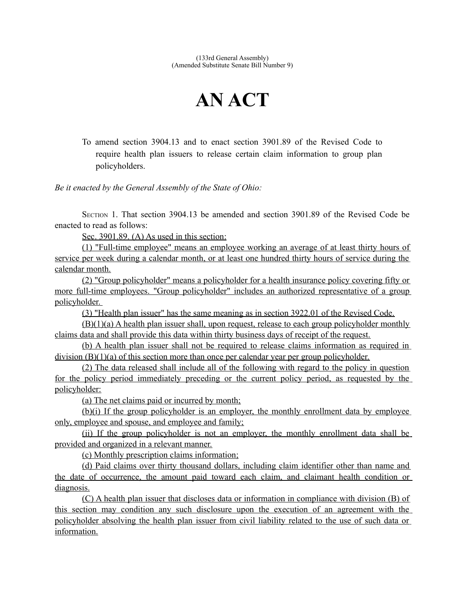(133rd General Assembly) (Amended Substitute Senate Bill Number 9)

## **AN ACT**

To amend section 3904.13 and to enact section 3901.89 of the Revised Code to require health plan issuers to release certain claim information to group plan policyholders.

*Be it enacted by the General Assembly of the State of Ohio:*

SECTION 1. That section 3904.13 be amended and section 3901.89 of the Revised Code be enacted to read as follows:

Sec. 3901.89. (A) As used in this section:

(1) "Full-time employee" means an employee working an average of at least thirty hours of service per week during a calendar month, or at least one hundred thirty hours of service during the calendar month.

(2) "Group policyholder" means a policyholder for a health insurance policy covering fifty or more full-time employees. "Group policyholder" includes an authorized representative of a group policyholder.

(3) "Health plan issuer" has the same meaning as in section 3922.01 of the Revised Code.

(B)(1)(a) A health plan issuer shall, upon request, release to each group policyholder monthly claims data and shall provide this data within thirty business days of receipt of the request.

(b) A health plan issuer shall not be required to release claims information as required in division (B)(1)(a) of this section more than once per calendar year per group policyholder.

(2) The data released shall include all of the following with regard to the policy in question for the policy period immediately preceding or the current policy period, as requested by the policyholder:

(a) The net claims paid or incurred by month;

(b)(i) If the group policyholder is an employer, the monthly enrollment data by employee only, employee and spouse, and employee and family;

(ii) If the group policyholder is not an employer, the monthly enrollment data shall be provided and organized in a relevant manner.

(c) Monthly prescription claims information;

(d) Paid claims over thirty thousand dollars, including claim identifier other than name and the date of occurrence, the amount paid toward each claim, and claimant health condition or diagnosis.

(C) A health plan issuer that discloses data or information in compliance with division (B) of this section may condition any such disclosure upon the execution of an agreement with the policyholder absolving the health plan issuer from civil liability related to the use of such data or information.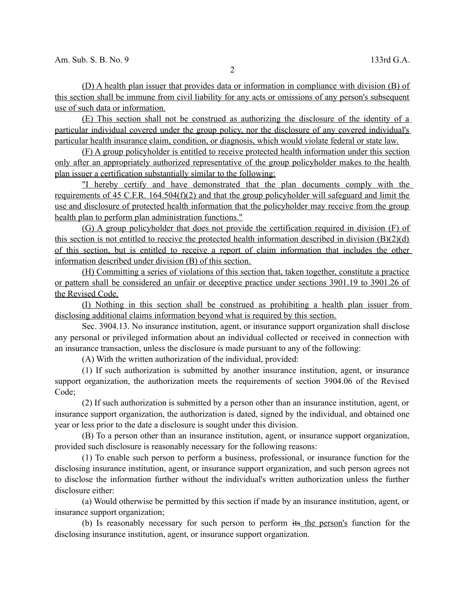(D) A health plan issuer that provides data or information in compliance with division (B) of this section shall be immune from civil liability for any acts or omissions of any person's subsequent use of such data or information.

(E) This section shall not be construed as authorizing the disclosure of the identity of a particular individual covered under the group policy, nor the disclosure of any covered individual's particular health insurance claim, condition, or diagnosis, which would violate federal or state law.

(F) A group policyholder is entitled to receive protected health information under this section only after an appropriately authorized representative of the group policyholder makes to the health plan issuer a certification substantially similar to the following:

"I hereby certify and have demonstrated that the plan documents comply with the requirements of 45 C.F.R. 164.504(f)(2) and that the group policyholder will safeguard and limit the use and disclosure of protected health information that the policyholder may receive from the group health plan to perform plan administration functions."

(G) A group policyholder that does not provide the certification required in division (F) of this section is not entitled to receive the protected health information described in division  $(B)(2)(d)$  of this section, but is entitled to receive a report of claim information that includes the other information described under division (B) of this section.

(H) Committing a series of violations of this section that, taken together, constitute a practice or pattern shall be considered an unfair or deceptive practice under sections 3901.19 to 3901.26 of the Revised Code.

(I) Nothing in this section shall be construed as prohibiting a health plan issuer from disclosing additional claims information beyond what is required by this section.

Sec. 3904.13. No insurance institution, agent, or insurance support organization shall disclose any personal or privileged information about an individual collected or received in connection with an insurance transaction, unless the disclosure is made pursuant to any of the following:

(A) With the written authorization of the individual, provided:

(1) If such authorization is submitted by another insurance institution, agent, or insurance support organization, the authorization meets the requirements of section 3904.06 of the Revised Code;

(2) If such authorization is submitted by a person other than an insurance institution, agent, or insurance support organization, the authorization is dated, signed by the individual, and obtained one year or less prior to the date a disclosure is sought under this division.

(B) To a person other than an insurance institution, agent, or insurance support organization, provided such disclosure is reasonably necessary for the following reasons:

(1) To enable such person to perform a business, professional, or insurance function for the disclosing insurance institution, agent, or insurance support organization, and such person agrees not to disclose the information further without the individual's written authorization unless the further disclosure either:

(a) Would otherwise be permitted by this section if made by an insurance institution, agent, or insurance support organization;

(b) Is reasonably necessary for such person to perform its the person's function for the disclosing insurance institution, agent, or insurance support organization.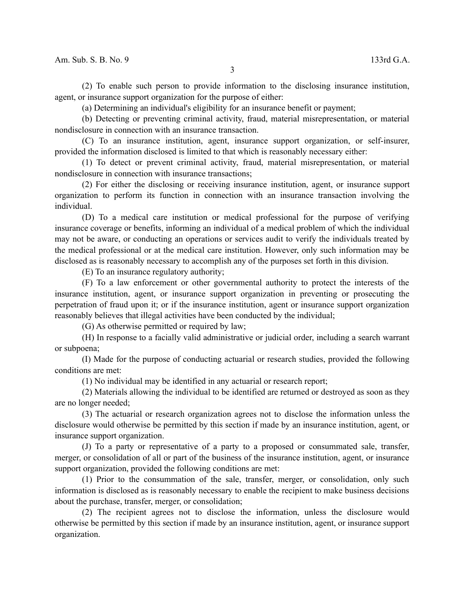(2) To enable such person to provide information to the disclosing insurance institution, agent, or insurance support organization for the purpose of either:

(a) Determining an individual's eligibility for an insurance benefit or payment;

(b) Detecting or preventing criminal activity, fraud, material misrepresentation, or material nondisclosure in connection with an insurance transaction.

(C) To an insurance institution, agent, insurance support organization, or self-insurer, provided the information disclosed is limited to that which is reasonably necessary either:

(1) To detect or prevent criminal activity, fraud, material misrepresentation, or material nondisclosure in connection with insurance transactions;

(2) For either the disclosing or receiving insurance institution, agent, or insurance support organization to perform its function in connection with an insurance transaction involving the individual.

(D) To a medical care institution or medical professional for the purpose of verifying insurance coverage or benefits, informing an individual of a medical problem of which the individual may not be aware, or conducting an operations or services audit to verify the individuals treated by the medical professional or at the medical care institution. However, only such information may be disclosed as is reasonably necessary to accomplish any of the purposes set forth in this division.

(E) To an insurance regulatory authority;

(F) To a law enforcement or other governmental authority to protect the interests of the insurance institution, agent, or insurance support organization in preventing or prosecuting the perpetration of fraud upon it; or if the insurance institution, agent or insurance support organization reasonably believes that illegal activities have been conducted by the individual;

(G) As otherwise permitted or required by law;

(H) In response to a facially valid administrative or judicial order, including a search warrant or subpoena;

(I) Made for the purpose of conducting actuarial or research studies, provided the following conditions are met:

(1) No individual may be identified in any actuarial or research report;

(2) Materials allowing the individual to be identified are returned or destroyed as soon as they are no longer needed;

(3) The actuarial or research organization agrees not to disclose the information unless the disclosure would otherwise be permitted by this section if made by an insurance institution, agent, or insurance support organization.

(J) To a party or representative of a party to a proposed or consummated sale, transfer, merger, or consolidation of all or part of the business of the insurance institution, agent, or insurance support organization, provided the following conditions are met:

(1) Prior to the consummation of the sale, transfer, merger, or consolidation, only such information is disclosed as is reasonably necessary to enable the recipient to make business decisions about the purchase, transfer, merger, or consolidation;

(2) The recipient agrees not to disclose the information, unless the disclosure would otherwise be permitted by this section if made by an insurance institution, agent, or insurance support organization.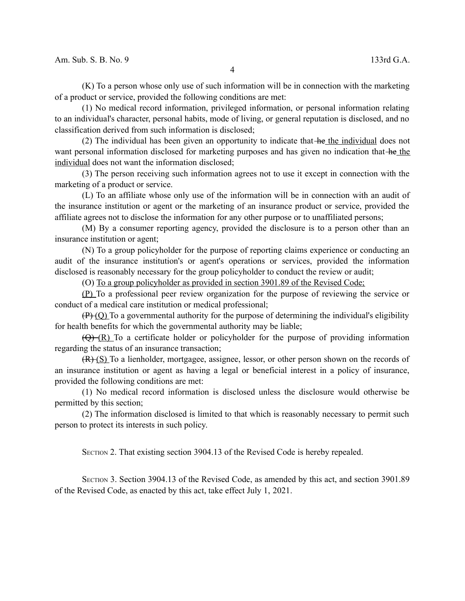(K) To a person whose only use of such information will be in connection with the marketing of a product or service, provided the following conditions are met:

(1) No medical record information, privileged information, or personal information relating to an individual's character, personal habits, mode of living, or general reputation is disclosed, and no classification derived from such information is disclosed;

(2) The individual has been given an opportunity to indicate that  $he$  the individual does not want personal information disclosed for marketing purposes and has given no indication that he the individual does not want the information disclosed;

(3) The person receiving such information agrees not to use it except in connection with the marketing of a product or service.

(L) To an affiliate whose only use of the information will be in connection with an audit of the insurance institution or agent or the marketing of an insurance product or service, provided the affiliate agrees not to disclose the information for any other purpose or to unaffiliated persons;

(M) By a consumer reporting agency, provided the disclosure is to a person other than an insurance institution or agent;

(N) To a group policyholder for the purpose of reporting claims experience or conducting an audit of the insurance institution's or agent's operations or services, provided the information disclosed is reasonably necessary for the group policyholder to conduct the review or audit;

(O) To a group policyholder as provided in section 3901.89 of the Revised Code;

(P) To a professional peer review organization for the purpose of reviewing the service or conduct of a medical care institution or medical professional;

 $(P)(Q)$  To a governmental authority for the purpose of determining the individual's eligibility for health benefits for which the governmental authority may be liable;

 $(\overline{Q} + (R))$  To a certificate holder or policyholder for the purpose of providing information regarding the status of an insurance transaction;

(R) (S) To a lienholder, mortgagee, assignee, lessor, or other person shown on the records of an insurance institution or agent as having a legal or beneficial interest in a policy of insurance, provided the following conditions are met:

(1) No medical record information is disclosed unless the disclosure would otherwise be permitted by this section;

(2) The information disclosed is limited to that which is reasonably necessary to permit such person to protect its interests in such policy.

SECTION 2. That existing section 3904.13 of the Revised Code is hereby repealed.

SECTION 3. Section 3904.13 of the Revised Code, as amended by this act, and section 3901.89 of the Revised Code, as enacted by this act, take effect July 1, 2021.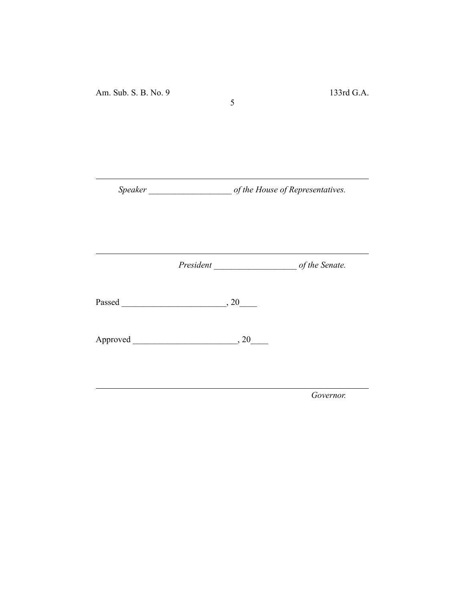*Speaker \_\_\_\_\_\_\_\_\_\_\_\_\_\_\_\_\_\_\_ of the House of Representatives.*

5

*President \_\_\_\_\_\_\_\_\_\_\_\_\_\_\_\_\_\_\_ of the Senate.*

Passed \_\_\_\_\_\_\_\_\_\_\_\_\_\_\_\_\_\_\_\_\_\_\_\_, 20\_\_\_\_

Approved \_\_\_\_\_\_\_\_\_\_\_\_\_\_\_\_\_\_\_\_\_\_\_\_, 20\_\_\_\_

*Governor.*